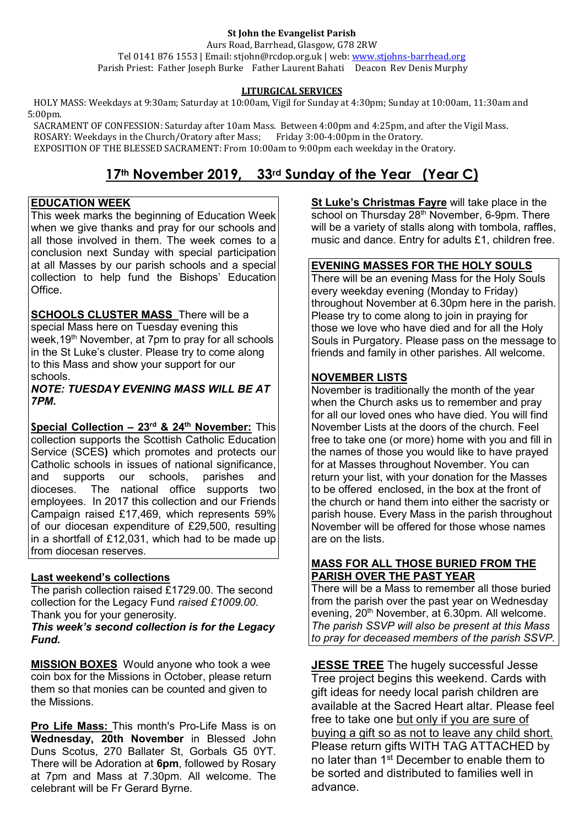#### **St John the Evangelist Parish**

Aurs Road, Barrhead, Glasgow, G78 2RW Tel 0141 876 1553 | Email: stjohn@rcdop.org.uk | web: [www.stjohns-barrhead.org](http://www.stjohns-barrhead.org/) Parish Priest: Father Joseph Burke Father Laurent Bahati Deacon Rev Denis Murphy

## **LITURGICAL SERVICES**

 HOLY MASS: Weekdays at 9:30am; Saturday at 10:00am, Vigil for Sunday at 4:30pm; Sunday at 10:00am, 11:30am and 5:00pm.

 SACRAMENT OF CONFESSION: Saturday after 10am Mass. Between 4:00pm and 4:25pm, and after the Vigil Mass. ROSARY: Weekdays in the Church/Oratory after Mass; Friday 3:00-4:00pm in the Oratory. EXPOSITION OF THE BLESSED SACRAMENT: From 10:00am to 9:00pm each weekday in the Oratory.

# **17th November 2019, 33rd Sunday of the Year (Year C)**

#### **EDUCATION WEEK**

This week marks the beginning of Education Week when we give thanks and pray for our schools and all those involved in them. The week comes to a conclusion next Sunday with special participation at all Masses by our parish schools and a special collection to help fund the Bishops' Education **Office** 

**SCHOOLS CLUSTER MASS** There will be a special Mass here on Tuesday evening this week, 19<sup>th</sup> November, at 7pm to pray for all schools in the St Luke's cluster. Please try to come along to this Mass and show your support for our schools.

*NOTE: TUESDAY EVENING MASS WILL BE AT 7PM.*

**Special Collection – 23rd & 24th November:** This collection supports the Scottish Catholic Education Service (SCES**)** which promotes and protects our Catholic schools in issues of national significance,<br>and supports our schools, parishes and and supports our schools, parishes and<br>dioceses. The national office supports two The national office supports two employees. In 2017 this collection and our Friends Campaign raised £17,469, which represents 59% of our diocesan expenditure of £29,500, resulting in a shortfall of £12,031, which had to be made up from diocesan reserves.

#### **Last weekend's collections**

The parish collection raised  $\widehat{\mathsf{E}}$  1729.00. The second collection for the Legacy Fund *raised £1009.00*. Thank you for your generosity.

*This week's second collection is for the Legacy Fund.*

**MISSION BOXES**Would anyone who took a wee coin box for the Missions in October, please return them so that monies can be counted and given to the Missions.

**Pro Life Mass:** This month's Pro-Life Mass is on **Wednesday, 20th November** in Blessed John Duns Scotus, 270 Ballater St, Gorbals G5 0YT. There will be Adoration at **6pm**, followed by Rosary at 7pm and Mass at 7.30pm. All welcome. The celebrant will be Fr Gerard Byrne.

**St Luke's Christmas Fayre** will take place in the school on Thursday  $28<sup>th</sup>$  November, 6-9pm. There will be a variety of stalls along with tombola, raffles, music and dance. Entry for adults £1, children free.

## **EVENING MASSES FOR THE HOLY SOULS**

There will be an evening Mass for the Holy Souls every weekday evening (Monday to Friday) throughout November at 6.30pm here in the parish. Please try to come along to join in praying for those we love who have died and for all the Holy Souls in Purgatory. Please pass on the message to friends and family in other parishes. All welcome.

## **NOVEMBER LISTS**

November is traditionally the month of the year when the Church asks us to remember and pray for all our loved ones who have died. You will find November Lists at the doors of the church. Feel free to take one (or more) home with you and fill in the names of those you would like to have prayed for at Masses throughout November. You can return your list, with your donation for the Masses to be offered enclosed, in the box at the front of the church or hand them into either the sacristy or parish house. Every Mass in the parish throughout November will be offered for those whose names are on the lists.

#### **MASS FOR ALL THOSE BURIED FROM THE PARISH OVER THE PAST YEAR**

There will be a Mass to remember all those buried from the parish over the past year on Wednesday evening, 20<sup>th</sup> November, at 6.30pm. All welcome. *The parish SSVP will also be present at this Mass to pray for deceased members of the parish SSVP.*

**JESSE TREE** The hugely successful Jesse Tree project begins this weekend. Cards with gift ideas for needy local parish children are available at the Sacred Heart altar. Please feel free to take one but only if you are sure of buying a gift so as not to leave any child short. Please return gifts WITH TAG ATTACHED by no later than 1<sup>st</sup> December to enable them to be sorted and distributed to families well in advance.